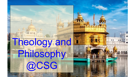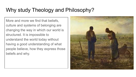# Why study Theology and Philosophy?

More and more we find that beliefs, culture and systems of belonging are changing the way in which our world is structured. It is impossible to understand the world today without having a good understanding of what people believe, how they express those beliefs and why.

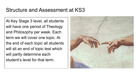## Structure and Assessment at KS3

At Key Stage 3 level, all students will have one period of Theology and Philosophy per week. Each term we will cover one topic. At the end of each topic all students will sit an end of topic test which will partly determine each student's level for that term.

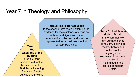### Year 7 in Theology and Philosophy

**Term 1: The teachings of the Buddha** In the first term, students will look at the key concepts of Buddhism, including Samsara, Anatta,

Anicca and Moksha

**Term 2: The Historical Jesus** 

In the second term, we will examine the evidence for the existence of Jesus as an historical figure and try to understand who he was and what he represented for his followers in first century Palestine.

**Term 3: Hinduism in Modern Britain** In the summer, we turn our attention to Hinduism, looking at the key beliefs and practices of the religion, whilst examining how Hindu tradition is maintained in the context of modern Britain.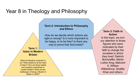### Year 8 in Theology and Philosophy

#### **Term 2: Introduction to Philosophy and Ethics**

How do we decide which actions are right or wrong? Is it more important to be happy, or to be free? Is there any way to prove that God exists?

#### **Term 1: Islam in Modern Britain**

What are Muslims expected to do? What beliefs lie at the heart of Islam? How are these beliefs and practices maintained in modern Britain? What are the challenges of being a Muslim in Britain in 2020?

**Term 3: Faith in Action** In this topic, we turn our attention to those figures who were motivated by their faith to change the societies in which they lived: Dietrich Bonhoeffer, Martin Luther King, Malcolm X, William Wilberforce, Ghaffar Khan and others.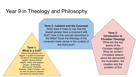### Year 9 in Theology and Philosophy

#### **Term 1: What is a Cult?**

What is the definition of a religion: a system of practices? Of ethics? Of metaphysical beliefs? Having defined religion, which new religious groups - Scientology, Mormonism, Plymouth Brethren, Nation of Islam - can be seen as genuine religions and which are harmful cults?

**Term 2: Judaism and the Covenant** 

What does it mean to say that the Jewish people have a covenant with God? How is this concept described in the Bible? Does the theology of the covenant make sense in the context of the Holocaust?

**Term 3: Introduction to Christian Theology**  What are the key tenets of the Christian religion? What do modern Christians believe about the atonement, the incarnation, the creation and the problem of Evil